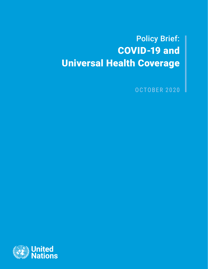Policy Brief: COVID-19 and Universal Health Coverage

OCTOBER 2020

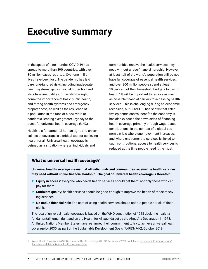## **Executive summary**

In the space of nine months, COVID-19 has spread to more than 190 countries, with over 30 million cases reported. Over one million lives have been lost. The pandemic has laid bare long-ignored risks, including inadequate health systems, gaps in social protection and structural inequalities. It has also brought home the importance of basic public health, and strong health systems and emergency preparedness, as well as the resilience of a population in the face of a new virus or pandemic, lending ever greater urgency to the quest for universal health coverage (UHC).

Health is a fundamental human right, and universal health coverage is a critical tool for achieving health for all. Universal health coverage is defined as a situation where all individuals and

communities receive the health services they need without undue financial hardship. However, at least half of the world's population still do not have full coverage of essential health services, and over 800 million people spend at least 10 per cent of their household budgets to pay for health.<sup>1</sup> It will be important to remove as much as possible financial barriers to accessing health services. This is challenging during an economic recession, but COVID-19 has shown that effective epidemic control benefits the economy. It has also exposed the down sides of financing health coverage primarily through wage-based contributions. In the context of a global economic crisis where unemployment increases, and where entitlement to services is linked to such contributions, access to health services is reduced at the time people need it the most.

#### What is universal health coverage?

Universal health coverage means that all individuals and communities receive the health services they need without undue financial hardship. The goal of universal health coverage is threefold:

- > **Equity in access:** everyone who needs health services should get them, not only those who can pay for them
- > **Sufficient quality:** health services should be good enough to improve the health of those receiving services
- > **No undue financial risk:** The cost of using health services should not put people at risk of financial harm.

The idea of universal health coverage is based on the WHO constitution of 1948 declaring health a fundamental human right and on the Health for All agenda set by the Alma Ata Declaration in 1978. All United Nations Member States have reaffirmed their commitment to try to achieve universal health coverage by 2030, as part of the Sustainable Development Goals (A/RES/74/2, October 2019).

**<sup>1</sup>** World Health Organization (WHO), "Universal health coverage (UHC)", 24 January 2019, available at [www.who.int/en/news-room/](http://www.who.int/en/news-room/fact-sheets/detail/universal-health-coverage-(uhc)) [fact-sheets/detail/universal-health-coverage-\(uhc\)](http://www.who.int/en/news-room/fact-sheets/detail/universal-health-coverage-(uhc)).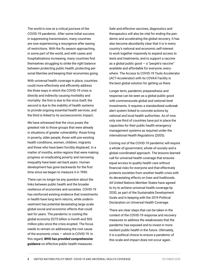The world is now at a critical juncture of the COVID-19 pandemic. After some initial success in suppressing transmission, many countries are now experiencing a resurgence after easing of restrictions. With the flu season approaching in some part of the world, and with cases and hospitalizations increasing, many countries find themselves struggling to strike the right balance between protecting public health, protecting personal liberties and keeping their economies going.

With universal health coverage in place, countries could more effectively and efficiently address the three ways in which the COVID-19 crisis is directly and indirectly causing morbidity and mortality: the first is due to the virus itself, the second is due to the inability of health systems to provide ongoing essential health services, and the third is linked to its socioeconomic impact**.**

We have witnessed that the virus poses the greatest risk to those groups that were already in situations of greater vulnerability: those living in poverty, older people, those with pre-existing health conditions, women, children, migrants and those who have been forcibly displaced. In a matter of months, entire regions that were making progress on eradicating poverty and narrowing inequality have been set back years. Human development has gone backwards for the first time since we began to measure it in 1990.

There can no longer be any question about the links between public health and the broader resilience of economies and societies. COVID-19 has reinforced existing evidence that investments in health have long-term returns, while underinvestment has potential devastating large-scale global social and economic effects that could last for years. The pandemic is costing the global economy \$375 billion a month and 500 million jobs since the crisis erupted. The focus needs to remain on addressing the root cause of the economic crisis — which is COVID-19. In this regard, *[WHO has provided comprehensive](https://www.who.int/emergencies/diseases/novel-coronavirus-2019/technical-guidance)  [guidance](https://www.who.int/emergencies/diseases/novel-coronavirus-2019/technical-guidance)* on effective public health measures.

Safe and effective vaccines, diagnostics and therapeutics will also be vital for ending the pandemic and accelerating the global recovery. It has also become abundantly clear that it is in every country's national and economic self-interest to work together massively to expand access to tests and treatments, and to support a vaccine as a global public good  $-$  a "people's vaccine" available and affordable for everyone, everywhere. The [Access to COVID-19 Tools Accelerator](https://www.who.int/initiatives/act-accelerator)  [\(ACT-Accelerator\)](https://www.who.int/initiatives/act-accelerator) with its COVAX Facility is the best global solution for getting us there.

Longer term, pandemic preparedness and response can be seen as a global public good with commensurate global and national-level investments. It requires a standardized outbreak alert system linked to concrete actions by national and local health authorities. As of now, only one third of countries have put in place the capacities for their public health emergency management systems as required under the *International Health Regulations* (2005).

Coming out of the COVID-19 pandemic will require a whole-of-government, whole-of-society and a global coordinated approach. The lessons learned call for universal health coverage that ensures equal access to quality health care without financial risks for everyone and that effectively protects societies from another health crisis with its devastating effects on lives and livelihoods. All United Nations Member States have agreed to try to achieve universal health coverage by 2030, as part of the Sustainable Development Goals and in keeping with the 2019 [Political](https://www.un.org/pga/73/wp-content/uploads/sites/53/2019/07/FINAL-draft-UHC-Political-Declaration.pdf)  [Declaration](https://www.un.org/pga/73/wp-content/uploads/sites/53/2019/07/FINAL-draft-UHC-Political-Declaration.pdf) on Universal Health Coverage.

There are clear steps that can be taken in the context of the COVID-19 response and recovery measures to address the weaknesses that the pandemic has exposed and to invest in more resilient public health in the future. Ultimately, it is a political choice to ensure a pandemic of this scale and impact does not occur again.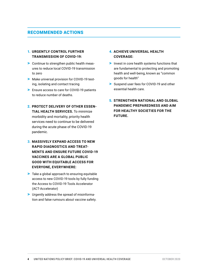### RECOMMENDED ACTIONS

#### 1. **URGENTLY CONTROL FURTHER TRANSMISSION OF COVID-19:**

- > Continue to strengthen public health measures to reduce local COVID-19 transmission to zero
- > Make universal provision for COVID-19 testing, isolating and contact tracing
- > Ensure access to care for COVID-19 patients to reduce number of deaths.
- 2. **PROTECT DELIVERY OF OTHER ESSEN-TIAL HEALTH SERVICES.** To minimize morbidity and mortality, priority health services need to continue to be delivered during the acute phase of the COVID-19 pandemic.
- **3. MASSIVELY EXPAND ACCESS TO NEW RAPID DIAGNOSTICS AND TREAT-MENTS AND ENSURE FUTURE COVID-19 VACCINES ARE A GLOBAL PUBLIC GOOD WITH EQUITABLE ACCESS FOR EVERYONE, EVERYWHERE:**
- > Take a global approach to ensuring equitable access to new COVID-19 tools by fully funding the Access to COVID-19 Tools Accelerator (ACT-Accelerator)
- > Urgently address the spread of misinformation and false rumours about vaccine safety.

#### 4. **ACHIEVE UNIVERSAL HEALTH COVERAGE:**

- > Invest in core health systems functions that are fundamental to protecting and promoting health and well-being, known as "common goods for health"
- > Suspend user fees for COVID-19 and other essential health care.
- 5. **STRENGTHEN NATIONAL AND GLOBAL PANDEMIC PREPAREDNESS AND AIM FOR HEALTHY SOCIETIES FOR THE FUTURE.**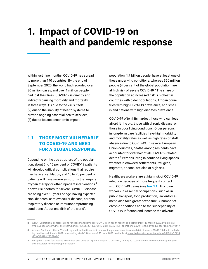## **1. Impact of COVID-19 on health and pandemic response**

Within just nine months, COVID-19 has spread to more than 190 countries. By the end of September 2020, the world had recorded over 30 million cases, and over 1 million people had lost their lives. COVID-19 is directly and indirectly causing morbidity and mortality in three ways: (1) due to the virus itself, (2) due to the inability of health systems to provide ongoing essential health services, (3) due to its socioeconomic impact.

## 1.1. THOSE MOST VULNERABLE TO COVID-19 AND NEED FOR A GLOBAL RESPONSE

Depending on the age structure of the population, about 5 to 15 per cent of COVID-19 patients will develop critical complications that require mechanical ventilation, and 15 to 20 per cent of patients will have severe symptoms that require oxygen therapy or other inpatient interventions.<sup>2</sup> Known risk factors for severe COVID-19 disease are being over 60 years of age, having hypertension, diabetes, cardiovascular disease, chronic respiratory disease or immunocompromising conditions. About one fifth of the world's

population, 1.7 billion people, have at least one of these underlying conditions, whereas 350 million people (4 per cent of the global population) are at high risk of severe COVID-19.<sup>3</sup> The share of the population at increased risk is highest in countries with older populations, African countries with high HIV/AIDS prevalence, and small island nations with high diabetes prevalence.

COVID-19 often hits hardest those who can least afford it: the old, those with chronic disease, or those in poor living conditions. Older persons in long-term care facilities have high morbidity and mortality rates as well as high rates of staff absence due to COVID-19. In several European Union countries, deaths among residents have accounted for over half of all COVID-19-related deaths.<sup>4</sup> Persons living in confined living spaces, whether in crowded settlements, refugees, migrants, prisons, are also at high risk.

Healthcare workers are at high risk of COVID-19 infection because of more frequent contact with COVID-19 cases (see **box 1.1**). Frontline workers in essential occupations, such as in public transport, food production, law enforcement, also face greater exposure. A number of chronic conditions add to the susceptibility of COVID-19 infection and increase the adverse

**<sup>2</sup>** WHO, "Operational considerations for case management of COVID-19 in health facility and community", 19 March 2020, available at [https://apps.who.int/iris/bitstream/handle/10665/331492/WHO-2019-nCoV-HCF\\_operations-2020.1-eng.pdf?sequence=1&isAllowed=y](https://apps.who.int/iris/bitstream/handle/10665/331492/WHO-2019-nCoV-HCF_operations-2020.1-eng.pdf?sequence=1&isAllowed=y).

**<sup>3</sup>** Andrew Clark and others, "Global, regional, and national estimates of the population at increased risk of severe COVID-19 due to underlying health conditions in 2020: a modelling study", *The Lancet*, 15 June 2020, available at [www.thelancet.com/action/showPdf?pii=S2214](http://www.thelancet.com/action/showPdf?pii=S2214-109X%2820%2930264-3) [-109X%2820%2930264-3.](http://www.thelancet.com/action/showPdf?pii=S2214-109X%2820%2930264-3)

**<sup>4</sup>** European Centre for Disease Prevention and Control, "Epidemiology of COVID-19", 15 July 2020, available at [www.ecdc.europa.eu/en/](http://www.ecdc.europa.eu/en/covid-19/latest-evidence/epidemiology) [covid-19/latest-evidence/epidemiology.](http://www.ecdc.europa.eu/en/covid-19/latest-evidence/epidemiology)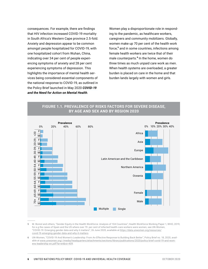consequences. For example, there are findings that HIV infection increased COVID-19 mortality in South Africa's Western Cape province 2.5-fold. Anxiety and depression appear to be common amongst people hospitalized for COVID-19, with one hospitalized cohort from Wuhan, China, indicating over 34 per cent of people experiencing symptoms of anxiety and 28 per cent experiencing symptoms of depression. This highlights the importance of mental health services being considered essential components of the national response to COVID-19, as outlined in the Policy Brief launched in May 2020 *[COVID‑19](https://www.un.org/sites/un2.un.org/files/un_policy_brief-covid_and_mental_health_final.pdf)  [and the Need for Action on Mental Health](https://www.un.org/sites/un2.un.org/files/un_policy_brief-covid_and_mental_health_final.pdf)*.

Women play a disproportionate role in responding to the pandemic, as healthcare workers, caregivers and community mobilizers. Globally, women make up 70 per cent of the health work force,<sup>5</sup> and in some countries, infections among female health workers are twice that of their male counterparts.<sup>6</sup> In the home, women do three times as much unpaid care work as men. When health systems are overloaded, a greater burden is placed on care in the home and that burden lands largely with women and girls.



#### **FIGURE 1.1. PREVALENCE OF RISKS FACTORS FOR SEVERE DISEASE, BY AGE AND SEX AND BY REGION 2020**

**5** M. Boniol and others, "Gender Equity in the Health Workforce: Analysis of 104 Countries", Health Workforce Working Paper 1, WHO, 2019; for e.g the cases of Spain and the US where over 70 per cent of infected health-care workers were women, see UN-Women, "COVID-19: Emerging gender data and why it matters", 26 June 2020, available at [https://data.unwomen.org/resources/](https://data.unwomen.org/resources/covid-19-emerging-gender-data-and-why-it-matters) [covid-19-emerging-gender-data-and-why-it-matters](https://data.unwomen.org/resources/covid-19-emerging-gender-data-and-why-it-matters).

**6** UN-Women, "COVID-19 And Women's Leadership: From An Effective Response to Building Back Better", Policy Brief no. 18, 2020, available at [www.unwomen.org/-/media/headquarters/attachments/sections/library/publications/2020/policy-brief-covid-19-and-wom](www.unwomen.org/-/media/headquarters/attachments/sections/library/publications/2020/policy-brief-covid-19-and-womens-leadership-en.pdf?la=en&vs=409)[ens-leadership-en.pdf?la=en&vs=409.](www.unwomen.org/-/media/headquarters/attachments/sections/library/publications/2020/policy-brief-covid-19-and-womens-leadership-en.pdf?la=en&vs=409)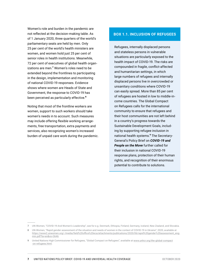Women's role and burden in the pandemic are not reflected at the decision-making table. As of 1 January 2020, three quarters of the world's parliamentary seats are held by men. Only 25 per cent of the world's health ministers are women, and women hold just 25 per cent of senior roles in health institutions. Meanwhile, 72 per cent of executives of global health organizations are men.<sup>7</sup> Women's roles need to be extended beyond the frontlines to participating in the design, implementation and monitoring of national COVID-19 responses. Evidence shows where women are Heads of State and Government, the response to COVID-19 has been perceived as particularly effective.<sup>8</sup>

Noting that most of the frontline workers are women, support to such workers should take women's needs in to account. Such measures may include offering flexible working arrangements, free transportation, extra payments and services, also recognizing women's increased burden of unpaid care work during the pandemic.

#### **BOX 1.1. INCLUSION OF REFUGEES**

Refugees, internally displaced persons and stateless persons in vulnerable situations are particularly exposed to the health impact of COVID-19. The risks are compounded in fragile, conflict-affected and humanitarian settings, in which large numbers of refugees and internally displaced persons live in overcrowded or unsanitary conditions where COVID-19 can easily spread. More than 85 per cent of refugees are hosted in low to middle-income countries. The Global Compact on Refugees calls for the international community to ensure that refugees and their host communities are not left behind in a country's progress towards the Sustainable Development Goals, including by supporting refugee inclusion in national health systems.<sup>9</sup> The Secretary-General's Policy Brief on *[COVID-19 and](https://www.un.org/sites/un2.un.org/files/sg_policy_brief_on_people_on_the_move.pdf)  [People on the Move](https://www.un.org/sites/un2.un.org/files/sg_policy_brief_on_people_on_the_move.pdf)* further called for their inclusion in national COVID-19 response plans, protection of their human rights, and recognition of their enormous potential to contribute to solutions.

**<sup>7</sup>** UN-Women, "COVID-19 And Women's Leadership", see for e.g. Denmark, Ethiopia, Finland, Germany, Iceland, New Zealand, and Slovakia.

**<sup>8</sup>** UN-Women, "Rapid gender assessment of the situation and needs of women in the context of COVID-19 in Ukraine", 2020, available at [https://www2.unwomen.org/-/media/field%20office%20eca/attachments/publications/2020/06/rapid%20gender%20assessment\\_eng](https://www2.unwomen.org/-/media/field%20office%20eca/attachments/publications/2020/06/rapid%20gender%20assessment_eng-min.pdf?la=en&vs=3646)[min.pdf?la=en&vs=3646.](https://www2.unwomen.org/-/media/field%20office%20eca/attachments/publications/2020/06/rapid%20gender%20assessment_eng-min.pdf?la=en&vs=3646)

**<sup>9</sup>** United Nations High Commissioner for Refugees, "Global Compact on Refugees", available at [www.unhcr.org/the-global-compact](http://www.unhcr.org/the-global-compact-on-refugees.html) [-on-refugees.html](http://www.unhcr.org/the-global-compact-on-refugees.html).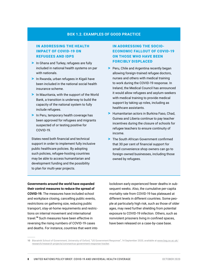#### **BOX 1.2. EXAMPLES OF GOOD PRACTICE**

#### IN ADDRESSING THE HEALTH IMPACT OF COVID-19 ON REFUGEES AND IDPS

- > In Ghana and Turkey, refugees are fully included in national health systems on par with nationals.
- > In Rwanda, urban refugees in Kigali have been included in the national social health insurance scheme.
- > In Mauritania, with the support of the World Bank, a transition is underway to build the capacity of the national system to fully include refugees.
- > In Peru, temporary health coverage has been approved for refugees and migrants suspected of or testing positive for COVID-19.

States need both financial and technical support in order to implement fully inclusive public healthcare policies. By adopting such policies, refugee-hosting countries may be able to access humanitarian and development funding and the possibility to plan for multi-year projects.

#### IN ADDRESSING THE SOCIO-ECONOMIC FALLOUT OF COVID-19 ON THOSE WHO HAVE BEEN FORCIBLY DISPLACED

- > Peru, Chile and Argentina recently began allowing foreign-trained refugee doctors, nurses and others with medical training to work during the COVID-19 response. In Ireland, the Medical Council has announced it would allow refugees and asylum-seekers with medical training to provide medical support by taking up roles, including as healthcare assistants.
- > Humanitarian actors in Burkina Faso, Chad, Guinea and Liberia continue to pay teacher incentives during the closure of schools for refugee teachers to ensure continuity of income.
- > The South African Government confirmed that 30 per cent of financial support for small convenience shop owners can go to foreign-owned businesses, including those owned by refugees.

**Governments around the world have expanded their control measures to reduce the spread of COVID-19.** The measures have included school and workplace closing, cancelling public events, restrictions on gathering size, reducing public transport, stay-at-home requirements and restrictions on internal movement and international travel.<sup>10</sup> Such measures have been effective in reversing the rising numbers of COVID-19 cases and deaths. For instance, countries that went into lockdown early experienced fewer deaths in subsequent weeks. Also, the cumulative per-capita mortality rate from COVID-19 has plateaued at different levels in different countries. Some people at particularly high risk, such as those of older ages, may need further shielding from potential exposure to COVID-19 infection. Others, such as nonviolent prisoners living in confined spaces, have been released on a case-by-case base.

**<sup>10</sup>** Blavatnik School of Government, University of Oxford, "US Government Response", 14 September 2020, available at [www.bsg.ox.ac.uk/](http://www.bsg.ox.ac.uk/research/research-projects/coronavirus-government-response-tracker) [research/research-projects/coronavirus-government-response-tracker](http://www.bsg.ox.ac.uk/research/research-projects/coronavirus-government-response-tracker).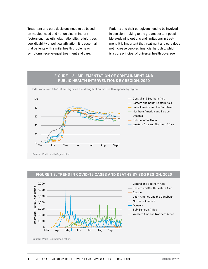Treatment and care decisions need to be based on medical need and not on discriminatory factors such as ethnicity, nationality, religion, sex, age, disability or political affiliation. It is essential that patients with similar health problems or symptoms receive equal treatment and care.

Patients and their caregivers need to be involved in decision-making to the greatest extent possible, explaining options and limitations in treatment. It is important that treatment and care does not increase peoples' financial hardship, which is a core principal of universal health coverage.

#### **FIGURE 1.2. IMPLEMENTATION OF CONTAINMENT AND PUBLIC HEALTH INTERVENTIONS BY REGION, 2020**

Index runs from 0 to 100 and signifies the strength of public health response by region.



**Source:** World Health Organization.

#### **FIGURE 1.3. TREND IN COVID-19 CASES AND DEATHS BY SDG REGION, 2020**



**Source:** World Health Organization.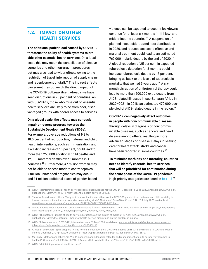### 1.2. IMPACT ON OTHER HEALTH SERVICES

**The additional patient load caused by COVID-19 threatens the ability of health systems to provide other essential health services.** On a local scale this may mean the cancellation of elective surgeries and other non-urgent procedures, but may also lead to wider effects owing to the restriction of travel, interruption of supply chains and redeployment of staff.<sup>11</sup> The indirect effects can sometimes outweigh the direct impact of the COVID-19 outbreak itself. Already, we have seen disruptions in 90 per cent of countries. As with COVID-19, those who miss out on essential health services are likely to be from poor, disadvantaged groups with poorer access to services.

#### **On a global scale, the effects may seriously impair or reverse progress towards the Sustainable Development Goals (SDGs).**

For example, coverage reductions of 9.8 to 18.5 per cent of reproductive, maternal and child health interventions, such as immunization, and a wasting increase of 10 per cent, could lead to more than 250,000 additional child deaths and 12,000 maternal deaths over 6 months in 118 countries.<sup>12</sup> Furthermore, 47 million women may not be able to access modern contraceptives, 7 million unintended pregnancies may occur and 31 million additional cases of gender-based

violence can be expected to occur if lockdowns continue for at least six months in 114 low- and middle-income countries.<sup>13</sup> A suspension of planned insecticide-treated nets distributions in 2020, and reduced access to effective antimalarial treatment could lead to an estimated 769,000 malaria deaths by the end of 2020.<sup>14</sup> A global reduction of 25 per cent in expected tuberculosis detection for 3 months could increase tuberculosis deaths by 13 per cent, bringing us back to the levels of tuberculosis mortality that we had 5 years ago.<sup>15</sup> A sixmonth disruption of antiretroviral therapy could lead to more than 500,000 extra deaths from AIDS-related illnesses in sub-Saharan Africa in 2020–2021: in 2018, an estimated 470,000 people died of AIDS-related deaths in the region.<sup>16</sup>

**COVID-19 can negatively affect outcomes in people with noncommunicable diseases** through delays in diagnosis of noncommunicable diseases, such as cancers and heart disease among others, resulting in more advanced stages of disease. Delays in seeking care for heart attack, stroke and cancer have been reported in some countries.<sup>17</sup>

**To minimize morbidity and mortality, countries need to identify essential health services that will be prioritized for continuation during the acute phase of the COVID-19 pandemic.**  High-priority categories are listed in **box 1.3**. 18

- **16** A. Hogan and others "Spiral: Report 19: The Potential Impact of the COVID-19 Epidemic on HIV, TB and Malaria in Low- and Middle-Income Countries", 30 April 2020, available at <https://spiral.imperial.ac.uk:8443/handle/10044/1/78670>.
- **17** Marion M. Mafham and others, "COVID-19 pandemic and admission rates for and management of acute coronary syndromes in England", *The Lancet*, vol. 396, No. 10248, 8 August 2020, available at https://doi.org/10.1016/S0140-6736(20)31356-8.
- **18** WHO, "Maintaining essential health services".

**<sup>11</sup>** WHO, "Maintaining essential health services: operational guidance for the COVID-19 context", 1 June 2020, available at [www.who.int/](http://www.who.int/publications/i/item/WHO-2019-nCoV-essential-health-services-2020.1) [publications/i/item/WHO-2019-nCoV-essential-health-services-2020.1](http://www.who.int/publications/i/item/WHO-2019-nCoV-essential-health-services-2020.1).

**<sup>12</sup>** Timothy Roberton and others, "Early estimates of the indirect effects of the COVID-19 pandemic on maternal and child mortality in low-income and middle-income countries: a modelling study", *The Lancet: Global Health*, vol. 8, No. 7, 1 July 2020, available at [www.thelancet.com/journals/langlo/article/PIIS2214-109X\(20\)30229-1/fulltext](http://www.thelancet.com/journals/langlo/article/PIIS2214-109X(20)30229-1/fulltext).

**<sup>13</sup>** United Nations Population Fund, "Coronavirus Disease (COVID-19) Pandemic", June 2020, available at [www.unfpa.org/sites/default/](http://www.unfpa.org/sites/default/files/resource-pdf/UNFPA_Global_Response_Plan_Revised_June_2020_.pdf) [files/resource-pdf/UNFPA\\_Global\\_Response\\_Plan\\_Revised\\_June\\_2020\\_.pdf](http://www.unfpa.org/sites/default/files/resource-pdf/UNFPA_Global_Response_Plan_Revised_June_2020_.pdf).

**<sup>14</sup>** WHO, "The potential impact of health service disruptions on the burden of malaria", 23 April 2020, available at [www.who.int/](http://www.who.int/publications/i/item/the-potential-impact-of-health-service-disruptions-on-the-burden-of-malaria) [publications/i/item/the-potential-impact-of-health-service-disruptions-on-the-burden-of-malaria.](http://www.who.int/publications/i/item/the-potential-impact-of-health-service-disruptions-on-the-burden-of-malaria)

**<sup>15</sup>** WHO, "Tuberculosis and COVID-19", Information Note, 12 May 2020, available at [www.who.int/docs/default-source/documents/](http://www.who.int/docs/default-source/documents/tuberculosis/infonote-tb-covid-19.pdf?sfvrsn=b5985459_18) [tuberculosis/infonote-tb-covid-19.pdf?sfvrsn=b5985459\\_18.](http://www.who.int/docs/default-source/documents/tuberculosis/infonote-tb-covid-19.pdf?sfvrsn=b5985459_18)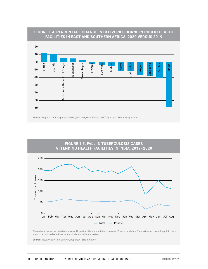

#### **FIGURE 1.4. PERCENTAGE CHANGE IN DELIVERIES BORNE IN PUBLIC HEALTH FACILITIES IN EAST AND SOUTHERN AFRICA, 2020 VERSUS 2019**



The national lockdown started on week 12, partial lifts were initiated on week 16 in some states. Data extracted from the public website of the national real-time tuberculosis surveillance system.

**Source:** https://reports.nikshay.in/Reports/TBNotification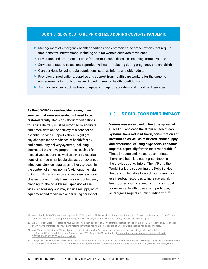#### **BOX 1.3. SERVICES TO BE PRIORITIZED DURING COVID-19 PANDEMIC**

- > Management of emergency health conditions and common acute presentations that require time-sensitive interventions, including care for women survivors of violence
- > Prevention and treatment services for communicable diseases, including immunizations
- > Services related to sexual and reproductive health, including during pregnancy and childbirth
- > Core services for vulnerable populations, such as infants and older adults
- > Provision of medications, supplies and support from health care workers for the ongoing management of chronic diseases, including mental health conditions and
- > Auxiliary services, such as basic diagnostic imaging, laboratory and blood bank services.

**As the COVID-19 case-load decreases, many services that were suspended will need to be restored rapidly.** Decisions about modifications to service delivery must be informed by accurate and timely data on the delivery of a core set of essential services. Reports should highlight any changes in the readiness of health facility and community delivery systems, including interrupted preventive programmes, such as for missed vaccinations, as well as severe exacerbations of non-communicable diseases or advanced infections. Service restoration is likely to occur in the context of a "new normal", with ongoing risks of COVID-19 transmission and recurrence of local clusters or community transmission. Contingency planning for the possible resuspension of services is necessary and may include resupplying of equipment and medicines and training personnel.

#### 1.3. SOCIO-ECONOMIC IMPACT

**Various measures used to limit the spread of COVID-19, and ease the strain on health care systems, have reduced travel, consumption and investment, as well as restricted labour supply and production, causing huge socio-economic impacts, especially for the most vulnerable.**<sup>19</sup> These impacts and measures to mitigate them have been laid out in great depth in the previous p[olicy briefs.](https://www.un.org/en/coronavirus/UN-response) The IMF and the World Bank are supporting the Debt Service Suspension Initiative in which borrowers can use freed-up resources to increase social, health, or economic spending. This is critical for universal health coverage in particular, as progress requires public funding.<sup>20, 21, 22</sup>

**<sup>19</sup>** World Bank, *Global Economic Prospects 2020*, "Chapter 1: Global Outlook, Pandemic, Recession: The Global Economy in Crisis", June 2020, available at<https://openknowledge.worldbank.org/bitstream/handle/10986/33748/211553-Ch01.pdf>.

**<sup>20</sup>** WHO, "Policy Brief No 1 Raising revenues for health in support of UHC: strategic issues for policy makers", 10 November 2015, available at [www.who.int/publications/i/item/raising-revenues-for-health-in-support-of-uhc-strategic-issues-for-policy-makers.](http://www.who.int/publications/i/item/raising-revenues-for-health-in-support-of-uhc-strategic-issues-for-policy-makers)

**<sup>21</sup>** Ajay Tandon and others, "From slippery slopes to steep hills: Contrasting landscapes of economic growth and public spending for health", *Social Science and Medicine*, vol. 259, August 2020, available at [www.sciencedirect.com/science/article/pii/](http://www.sciencedirect.com/science/article/pii/S0277953620303907?dgcid=rss_sd_all) [S0277953620303907?dgcid=rss\\_sd\\_all.](http://www.sciencedirect.com/science/article/pii/S0277953620303907?dgcid=rss_sd_all)

**<sup>22</sup>** Joseph Kutzin, Winnie Yip and Cheryl Cashin, "Alternative Financing Strategies for Universal Health Coverage", *World Scientific Handbook of Global Health Economics and Public Policy*, 2016, available at [www.worldscientific.com/doi/abs/10.1142/9789813140493\\_0005](http://www.worldscientific.com/doi/abs/10.1142/9789813140493_0005).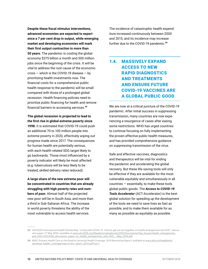**Despite these fiscal stimulus interventions, advanced economies are expected to experience a 7 per cent drop in output, while emerging market and developing economies will mark their first output contraction in more than 50 years.** The pandemic is costing the global economy \$375 billion a month and 500 million jobs since the beginning of the crisis. It will be vital to address the root cause of the economic crisis — which is the COVID-19 disease — by prioritizing health investments now. The financial costs for a comprehensive public health response to the pandemic will be small compared with those of a prolonged global recession. Health financing policies need to prioritize public financing for health and remove financial barriers to accessing services.<sup>23</sup>

#### **The global recession is projected to lead to the first rise in global extreme poverty since**

**1998.** It is estimated that COVID-19 could push an additional 70 to 100 million people into extreme poverty in 2020, effectively wiping out progress made since 2017. The consequences for human health are potentially serious, with each health-related SDG target likely to go backwards. Those most influenced by a poverty indicator will likely be most affected (e.g. tuberculosis will be less likely to be treated, skilled delivery rates reduced).

**A large share of the new extreme poor will be concentrated in countries that are already struggling with high poverty rates and numbers of poor.** Almost half of the projected new poor will be in South Asia, and more than a third in Sub-Saharan Africa. The increase in world poverty threatens the ability of the most vulnerable to access health services.

The incidence of catastrophic health expenditure increased continuously between 2000 and 2015, and its incidence may increase further due to the COVID-19 pandemic.<sup>24</sup>

## 1.4. MASSIVELY EXPAND ACCESS TO NEW RAPID DIAGNOSTICS AND TREATMENTS AND ENSURE FUTURE COVID-19 VACCINES ARE A GLOBAL PUBLIC GOOD

We are now at a critical juncture of the COVID-19 pandemic. After initial success in suppressing transmission, many countries are now experiencing a resurgence of cases after easing some restrictions. WHO has urged countries to continue focusing on fully implementing the proven effective public health measures, and has provided [comprehensive guidance](https://www.who.int/emergencies/diseases/novel-coronavirus-2019/technical-guidance) on suppressing transmission of the virus.

Safe and effective vaccines, diagnostics and therapeutics will be vital for ending the pandemic and accelerating the global recovery. But these life-saving tools will only be effective if they are available for the most vulnerable equitably and simultaneously in all countries — essentially, to make these tools global public goods. The *[Access to COVID-19](https://www.who.int/publications/m/item/access-to-covid-19-tools-(act)-accelerator)  Tools Accelerator* [\(ACT-Accelerator\)](https://www.who.int/publications/m/item/access-to-covid-19-tools-(act)-accelerator) is the best global solution for speeding up the development of the tools we need to save lives as fast as possible, and to make them available for as many as possible as equitably as possible.

**<sup>23</sup>** UHC2030 International Health Partnership, "Living with COVID-19: Time to get our act together on health emergencies and UHC", discussion paper, 27 May 2020, available at [www.uhc2030.org/fileadmin/uploads/uhc2030/Documents/Key\\_Issues/Health\\_emergencies\\_](http://www.uhc2030.org/fileadmin/uploads/uhc2030/Documents/Key_Issues/Health_emergencies_and_UHC/UHC2030_discussion_paper_on_health_emergencies_and_UHC_-_May_2020.pdf) [and\\_UHC/UHC2030\\_discussion\\_paper\\_on\\_health\\_emergencies\\_and\\_UHC\\_-\\_May\\_2020.pdf](http://www.uhc2030.org/fileadmin/uploads/uhc2030/Documents/Key_Issues/Health_emergencies_and_UHC/UHC2030_discussion_paper_on_health_emergencies_and_UHC_-_May_2020.pdf).

**<sup>24</sup>** WHO, *Primary Health Care on the Road to Universal Health Coverage: 2019 Monitoring Report*, available at [www.who.int/healthinfo/](http://www.who.int/healthinfo/universal_health_coverage/report/uhc_report_2019.pdf?ua=1) [universal\\_health\\_coverage/report/uhc\\_report\\_2019.pdf?ua=1.](http://www.who.int/healthinfo/universal_health_coverage/report/uhc_report_2019.pdf?ua=1)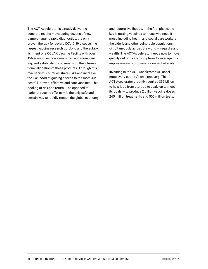The ACT-Accelerator is already delivering concrete results – evaluating dozens of new game-changing rapid diagnostics; the only proven therapy for severe COVID-19 disease; the largest vaccine research portfolio and the establishment of a COVAX Vaccine Facility with over 156 economies now committed and more joining; and establishing consensus on the international allocation of these products. Through this mechanism, countries share risks and increase the likelihood of gaining access to the most successful, proven, effective and safe vaccines. This pooling of risk and return — as opposed to national vaccine efforts  $-$  is the only safe and certain way to rapidly reopen the global economy and restore livelihoods. In the first phase, the key is getting vaccines to those who need it most, including health and social care workers, the elderly and other vulnerable populations simultaneously across the world — regardless of wealth. The ACT-Accelerator needs now to move quickly out of its start-up phase to leverage this impressive early progress for impact at scale.

Investing in the ACT-Accelerator will accelerate every country's own recovery. The ACT-Accelerator urgently requires \$35 billion to help it go from start-up to scale up to meet its goals — to produce 2 billion vaccine doses, 245 million treatments and 500 million tests.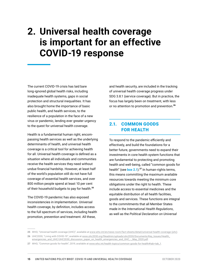## **2. Universal health coverage is important for an effective COVID-19 response**

The current COVID-19 crisis has laid bare long-ignored global health risks, including inadequate health systems, gaps in social protection and structural inequalities. It has also brought home the importance of basic public health, and health services, to the resilience of a population in the face of a new virus or pandemic, lending ever greater urgency to the quest for universal health coverage.

Health is a fundamental human right, encompassing health services as well as the underlying determinants of health, and universal health coverage is a critical tool for achieving health for all. Universal health coverage is defined as a situation where all individuals and communities receive the health services they need without undue financial hardship. However, at least half of the world's population still do not have full coverage of essential health services, and over 800 million people spend at least 10 per cent of their household budgets to pay for health.<sup>25</sup>

The COVID-19 pandemic has also exposed inconsistencies in implementation. Universal health coverage, by definition, includes access to the full spectrum of services, including health promotion, prevention and treatment. All these,

and health security, are included in the tracking of universal health coverage progress under SDG 3.8.1 (service coverage). But in practice, the focus has largely been on treatment, with less or no attention to promotion and prevention.<sup>26</sup>

### 2.1. COMMON GOODS FOR HEALTH

To respond to the pandemic efficiently and effectively, and build the foundations for a better future, governments need to expand their investments in core health system functions that are fundamental to protecting and promoting health and well-being, called "common goods for health" (see **box 2.1**).<sup>27</sup> In human-rights terms, this means committing the maximum available resources towards meeting the minimum core obligations under the right to health. These include access to essential medicines and the equitable distribution of all health facilities, goods and services. These functions are integral to the commitments that all Member States made in the *International Health Regulations*, as well as the *Political Declaration on Universal* 

**<sup>25</sup>** WHO, "Universal health coverage (UHC)", available at [www.who.int/en/news-room/fact-sheets/detail/universal-health-coverage-\(uhc\).](http://www.who.int/en/news-room/fact-sheets/detail/universal-health-coverage-(uhc))

**<sup>26</sup>** UHC2030, "Living with COVID-19", available at [www.uhc2030.org/fileadmin/uploads/uhc2030/Documents/Key\\_Issues/Health\\_](http://www.uhc2030.org/fileadmin/uploads/uhc2030/Documents/Key_Issues/Health_emergencies_and_UHC/UHC2030_discussion_paper_on_health_emergencies_and_UHC_-_May_2020.pdf) [emergencies\\_and\\_UHC/UHC2030\\_discussion\\_paper\\_on\\_health\\_emergencies\\_and\\_UHC\\_-\\_May\\_2020.pdf.](http://www.uhc2030.org/fileadmin/uploads/uhc2030/Documents/Key_Issues/Health_emergencies_and_UHC/UHC2030_discussion_paper_on_health_emergencies_and_UHC_-_May_2020.pdf)

**<sup>27</sup>** WHO, "Common goods for health", 2019, available at [www.who.int/health-topics/common-goods-for-health#tab=tab\\_1](http://www.who.int/health-topics/common-goods-for-health#tab=tab_1).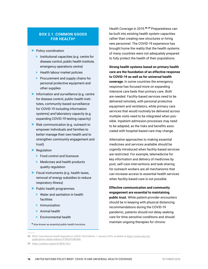#### **BOX 2.1. COMMON GOODS FOR HEALTH\***

- > Policy coordination
	- » Institutional capacities (e.g. centre for disease control, public health institute, emergency operations centre)
	- » Health labour market policies
	- » Procurement and supply chains for personal protective equipment and other supplies
- > Information and surveillance (e.g. centre for disease control, public health institutes, community-based surveillance for COVID-19 including information systems) and laboratory capacity (e.g. expanding COVID-19 testing capacity)
- > Risk communication (e.g. outreach to empower individuals and families to better manage their own health and to strengthen community engagement and trust)
- > Regulation
	- » Food control and licensure
	- » Medicines and health products quality regulation
- > Fiscal instruments (e.g. health taxes, removal of energy subsidies to reduce respiratory illness)
- > Public health programmes
	- » Water and sanitation in health facilities
	- » Immunization
	- » Animal health
	- » Environmental health

*Health Coverage* in 2019.<sup>28, 29</sup> Preparedness can be built into existing health system capacities rather than creating new structures or hiring new personnel. The COVID-19 experience has brought home the reality that the health systems of many countries were not adequately prepared to fully protect the health of their populations.

**Strong health systems based on primary health care are the foundation of an effective response to COVID-19 as well as for universal health coverage.** In some countries the emergency response has focused more on expanding intensive care beds than primary care. Both are needed. Facility-based services need to be delivered remotely, with personal protective equipment and ventilators, while primary care services that would routinely be delivered across multiple visits need to be integrated when possible. Inpatient admission processes may need to be adapted, as the risks and benefits associated with hospital-based care may change.

Alternative approaches to making essential medicines and services available should be urgently introduced when facility-based services are restricted. For example, telemedicine for key information and delivery of medicines by post, self-care interventions and task-sharing for outreach workers are all mechanisms that can increase access to essential health services when facility-based care is not possible.

**Effective communication and community engagement are essential to maintaining** 

**public trust.** While patient-provider encounters should be in keeping with physical distancing recommendations during the COVID-19 pandemic, patients should not delay seeking care for time-sensitive conditions and should maintain ongoing therapies for chronic

**<sup>\*</sup>** Also known as essential public health functions

**<sup>28</sup>** WHO, *International Health Regulations (2005) Third Edition*, 1 January 2016, available at [https://www.who.int/](https://www.who.int/publications-detail-redirect/9789241580496) [publications-detail-redirect/9789241580496.](https://www.who.int/publications-detail-redirect/9789241580496)

**<sup>29</sup>** https://undocs.org/en/A/RES/74/2.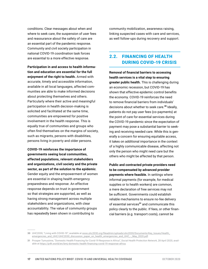conditions. Clear messages about when and where to seek care, the suspension of user fees and reassurance about the safety of care are an essential part of the pandemic response. Community and civil society participation in national COVID-19 coordination task forces are essential to a more effective response.

**Participation in and access to health information and education are essential for the full enjoyment of the right to health.** Armed with accurate, timely and accessible information, available in all local languages, affected communities are able to make informed decisions about protecting themselves and others. Particularly where their active and meaningful participation in health decision-making is solicited and facilitated at the same time, communities are empowered for positive involvement in the health response. This is equally true of communities and groups who often find themselves on the margins of society, such as migrants, persons with disabilities, persons living in poverty and older persons.

**COVID-19 reinforces the importance of governments seeing local communities, affected populations, relevant stakeholders and organizations, civil society and the private sector, as part of the solution to the epidemic**. Gender equity and the empowerment of women are essential in shaping health emergency preparedness and response. An effective response depends on trust in government so that strategies are supported, as well as having strong management across multiple stakeholders and organizations, with clear accountability. The value of community groups has repeatedly been shown in contributing to

community mobilization, awareness raising, linking suspected cases with care and services, as well follow-ups during recovery and support.

### 2.2. FINANCING OF HEALTH DURING COVID-19 CRISIS

**Removal of financial barriers to accessing health services is a vital step to ensuring greater public health.** This is challenging during an economic recession, but COVID-19 has shown that effective epidemic control benefits the economy. COVID-19 reinforces the need to remove financial barriers from individuals' decisions about whether to seek care.<sup>30</sup> Ideally, patients do not pay user fees (co-payments) at the point of care for essential services during the COVID-19 pandemic since the expectation of payment may pose a substantial barrier to seeking and receiving needed care. While this is generally a concern for ensuring equitable access, it takes on additional importance in the context of a highly communicable disease, affecting not only the person who might need care but the others who might be affected by that person.

**Public and contracted private providers need to be compensated by advanced provider payments where feasible.** In settings where informal payments (for example, for medical supplies or to health workers) are common, a mere declaration of free services may not be sufficient. Governments could establish reliable mechanisms to ensure no-fee delivery of essential services<sup>31</sup> and communicate this policy clearly to the public. If fees, or other financial barriers (e.g. transport costs), cannot be

**<sup>30</sup>** UHC2030, "Living with COVID-19", available at [www.uhc2030.org/fileadmin/uploads/uhc2030/Documents/Key\\_Issues/Health\\_](http://www.uhc2030.org/fileadmin/uploads/uhc2030/Documents/Key_Issues/Health_emergencies_and_UHC/UHC2030_discussion_paper_on_health_emergencies_and_UHC_-_May_2020.pdf) [emergencies\\_and\\_UHC/UHC2030\\_discussion\\_paper\\_on\\_health\\_emergencies\\_and\\_UHC\\_-\\_May\\_2020.pdf.](http://www.uhc2030.org/fileadmin/uploads/uhc2030/Documents/Key_Issues/Health_emergencies_and_UHC/UHC2030_discussion_paper_on_health_emergencies_and_UHC_-_May_2020.pdf)

**<sup>31</sup>** Prosper Tumusiime, "Domestic Health Financing for Covid-19 Response in Africa", *Social Health Protection Network*, 28 April 2020, available at https://p4h.world/en/bmj-domestic-health-financing-covid-19-response-africa.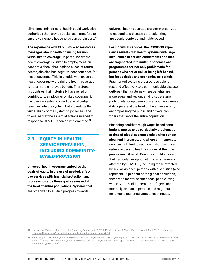eliminated, ministries of health could work with authorities that provide social cash transfers to ensure vulnerable households can obtain care.<sup>32</sup>

**The experience with COVID-19 also reinforces messages about health financing for universal health coverage.** In particular, where health coverage is linked to employment, an economic shock that leads to a loss of formal sector jobs also has negative consequences for health coverage. This is at odds with universal health coverage — the right to health coverage is not a mere employee benefit. Therefore, in countries that historically have relied on contributory, employment-linked coverage, it has been essential to inject general budget revenues into the system, both to reduce the vulnerability of the system to job losses and to ensure that the essential actions needed to respond to COVID-19 can be implemented.<sup>33</sup>

## 2.3. EQUITY IN HEALTH SERVICE PROVISION, INCLUDING COMMUNITY-BASED PROVISION

**Universal health coverage embodies the goals of equity in the use of needed, effective services with financial protection, and progress towards these goals assessed at the level of entire populations.** Systems that are organized to sustain progress towards

universal health coverage are better organized to respond to a disease outbreak if they are people-centered and rights-based.

**For individual services, the COVID-19 experience reveals that health systems with large inequalities in service entitlements and that are fragmented into multiple schemes and programmes are not only problematic for persons who are at risk of being left behind, but for societies and economies as a whole.** Fragmented systems are also less able to respond effectively to a communicable disease outbreak than systems where benefits are more equal and key underlying subsystems, particularly for epidemiological and service-use data, operate at the level of the entire system, encompassing the public and private providers that serve the entire population.

**Financing health through wage-based contributions proves to be particularly problematic at time of global economic crisis where unemployment increases, and where entitlement to services is linked to such contributions, it can reduce access to health services at the time people need it most**. Countries could ensure that particular sub-populations most severely affected by COVID-19, including those affected by sexual violence, persons with disabilities (who represent 15 per cent of the global population), those with mental health needs, people living with HIV/AIDS, older persons, refugees and internally displaced persons and migrants no longer experience unmet health needs.

**<sup>32</sup>** Joe Kutzin, "Priorities for the Health Financing Response to COVID-19", *Social Health Protection Network,* 2 April 2020, available at https://p4h.world/en/who-priorities-health-financing-response-covid19.

**<sup>33</sup>** For example in Germany ([www.covid19healthsystem.org/countries/germany/livinghit.aspx?Section=4.1%20Health%20financing&Type=](http://www.covid19healthsystem.org/countries/germany/livinghit.aspx?Section=4.1%20Health%20financing&Type=Section) [Section\)](http://www.covid19healthsystem.org/countries/germany/livinghit.aspx?Section=4.1%20Health%20financing&Type=Section) or the Czech Republic ([www.covid19healthsystem.org/countries/czechrepublic/livinghit.aspx?Section=4.1%20Health%20](http://www.covid19healthsystem.org/countries/czechrepublic/livinghit.aspx?Section=4.1%20Health%20financing&Type=Section) [financing&Type=Section](http://www.covid19healthsystem.org/countries/czechrepublic/livinghit.aspx?Section=4.1%20Health%20financing&Type=Section))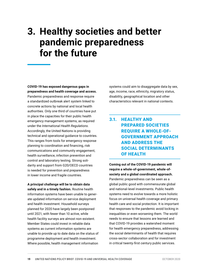# **3. Healthy societies and better pandemic preparedness for the future**

**COVID-19 has exposed dangerous gaps in preparedness and health coverage and access.**  Pandemic preparedness and response require a standardized outbreak alert system linked to concrete actions by national and local health authorities. Only one third of countries have put in place the capacities for their public health emergency management systems, as required under the *International Health Regulations*. Accordingly, the United Nations is providing technical and operational guidance to countries. This ranges from tools for emergency response planning to coordination and financing, risk communications and community engagement, health surveillance, infection prevention and control and laboratory testing. Strong solidarity and support from G20/OECD countries is needed for prevention and preparedness in lower income and fragile countries.

**A principal challenge will be to obtain data safely and in a timely fashion.** Routine health information systems have been unable to generate updated information on service deployment and health investment. Household surveys planned for 2020 have largely been postponed until 2021, with fewer than 10 active, while health facility surveys are almost non-existent. Member States could invest in reliable data systems as current information systems are unable to provide up to date data on the status of programme deployment and health investment. Where possible, health management information

systems could aim to disaggregate data by sex, age, income, race, ethnicity, migratory status, disability, geographical location and other characteristics relevant in national contexts.

## 3.1. HEALTHY AND PREPARED SOCIETIES REQUIRE A WHOLE-OF-GOVERNMENT APPROACH AND ADDRESS THE SOCIAL DETERMINANTS OF HEALTH

**Coming out of the COVID-19 pandemic will require a whole-of-government, whole-ofsociety and a global coordinated approach.** Pandemic preparedness can be seen as a global public good with commensurate global and national-level investments. Public health systems need to evolve towards a more holistic focus on universal health coverage and primary health care and social protection. It is important that responses to the pandemic avoid locking in inequalities or even worsening them. The world needs to ensure that lessons are learned and that COVID-19 provides a watershed moment for health emergency preparedness, addressing the social determinants of health that requires cross-sector collaboration and for investment in critical twenty-first century public services.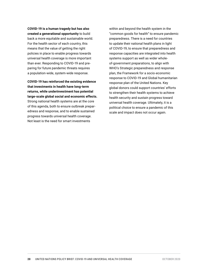**COVID-19 is a human tragedy but has also created a generational opportunity** to build back a more equitable and sustainable world. For the health sector of each country, this means that the value of getting the right policies in place to enable progress towards universal health coverage is more important than ever. Responding to COVID-19 and preparing for future pandemic threats requires a population-wide, system-wide response.

**COVID-19 has reinforced the existing evidence that investments in health have long-term returns, while underinvestment has potential large-scale global social and economic effects.** Strong national health systems are at the core of this agenda, both to ensure outbreak preparedness and response, and to enable sustained progress towards universal health coverage. Not least is the need for smart investments

within and beyond the health system in the "common goods for health" to ensure pandemic preparedness. There is a need for countries to update their national health plans in light of COVID-19, to ensure that preparedness and response capacities are integrated into health systems support as well as wider wholeof-government preparations, to align with WHO's Strategic preparedness and response plan, the Framework for a socio-economic response to COVID-19 and Global humanitarian response plan of the United Nations. Key global donors could support countries' efforts to strengthen their health systems to achieve health security and sustain progress toward universal health coverage. Ultimately, it is a political choice to ensure a pandemic of this scale and impact does not occur again.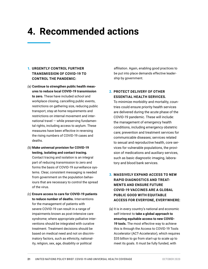# **4. Recommended actions**

#### 1. **URGENTLY CONTROL FURTHER TRANSMISSION OF COVID-19 TO CONTROL THE PANDEMIC:**

- *(a)* **Continue to strengthen public health measures to reduce local COVID-19 transmission to zero.** These have included school and workplace closing, cancelling public events, restrictions on gathering size, reducing public transport, stay-at-home requirements and restrictions on internal movement and international travel — while preserving fundamental rights, including access to asylum. These measures have been effective in reversing the rising numbers of COVID-19 cases and deaths.
- *(b)* **Make universal provision for COVID-19 testing, isolating and contact tracing.** Contact tracing and isolation is an integral part of reducing transmission to zero and forms the basis of COVID-19 surveillance systems. Clear, consistent messaging is needed from government on the population behaviours that are necessary to control the spread of the virus.
- *(c)* **Ensure access to care for COVID-19 patients to reduce number of deaths.** Interventions for the management of patients with severe COVID-19 can result in a range of impairments known as post-intensive care syndrome; where appropriate palliative interventions should be integrated with curative treatment. Treatment decisions should be based on medical need and not on discriminatory factors, such as ethnicity, nationality, religion, sex, age, disability or political

affiliation. Again, enabling good practices to be put into place demands effective leadership by government.

#### **2. PROTECT DELIVERY OF OTHER ESSENTIAL HEALTH SERVICES.**

To minimize morbidity and mortality, countries could ensure priority health services are delivered during the acute phase of the COVID-19 pandemic. These will include: the management of emergency health conditions, including emergency obstetric care; prevention and treatment services for communicable diseases; services related to sexual and reproductive health, core services for vulnerable populations, the provision of medications and auxiliary services, such as basic diagnostic imaging, laboratory and blood bank services.

#### **3. MASSIVELY EXPAND ACCESS TO NEW RAPID DIAGNOSTICS AND TREAT-MENTS AND ENSURE FUTURE COVID-19 VACCINES ARE A GLOBAL PUBLIC GOOD WITH EQUITABLE ACCESS FOR EVERYONE, EVERYWHERE:**

*(a)* It is in every country's national and economic self-interest to **take a global approach to ensuring equitable access to new COVID-19 tools.** The most effective way to achieve this is through the Access to COVID-19 Tools Accelerator (ACT-Accelerator), which requires \$35 billion to go from start-up to scale up to meet its goals. It must be fully funded, with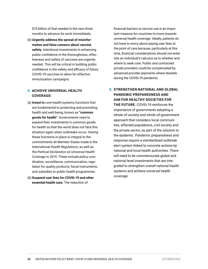\$15 billion of that needed in the next three months to advance its work immediately.

*(b)* **Urgently address the spread of misinformation and false rumours about vaccine safety.** Intentional investments in enhancing public confidence in the thoroughness, effectiveness and safety of vaccines are urgently needed. This will be critical in building public confidence in the safety and efficacy of future COVID-19 vaccines to allow for effective immunization campaigns.

#### 4. **ACHIEVE UNIVERSAL HEALTH COVERAGE:**

- *(a)* **Invest in** core health systems functions that are fundamental to protecting and promoting health and well-being, known as **"common goods for health"**. Governments need to expand their investments in common goods for health so that the world does not face this situation again when outbreaks occur. Having these functions in place is integral to the commitments all Member States made in the *International Health Regulations*, as well as the *Political Declaration on Universal Health Coverage* in 2019. These include policy coordination, surveillance, communication, regulation for quality products, fiscal instruments, and subsidies to public health programmes.
- *(b)* **Suspend user fees for COVID-19 and other essential health care.** The reduction of

financial barriers to service use is an important measure for countries to move towards universal health coverage. Ideally, patients do not have to worry about paying user fees at the point of care because, particularly at this time, financial considerations should not enter into an individual's calculus as to whether and where to seek care. Public and contracted private providers could be compensated by advanced provider payments where feasible during the COVID-19 pandemic.

5. **STRENGTHEN NATIONAL AND GLOBAL PANDEMIC PREPAREDNESS AND AIM FOR HEALTHY SOCIETIES FOR THE FUTURE.** COVID-19 reinforces the importance of governments adopting a whole-of-society and whole-of-government approach that considers local communities, affected populations, civil society and the private sector, as part of the solution to the epidemic. Pandemic preparedness and response require a standardized outbreak alert system linked to concrete actions by national and local health authorities. There will need to be commensurate global and national-level investments that are integrated to strengthen overall national health systems and achieve universal health coverage.